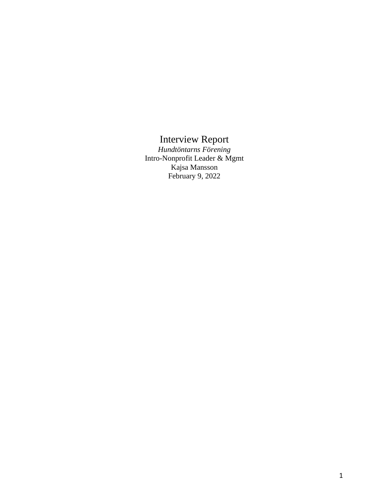## Interview Report

*Hundtöntarns Förening* Intro-Nonprofit Leader & Mgmt Kajsa Mansson February 9, 2022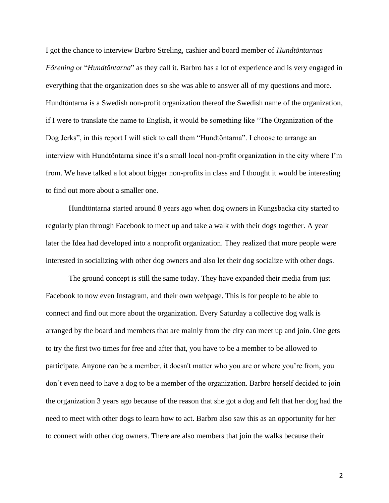I got the chance to interview Barbro Streling, cashier and board member of *Hundtöntarnas Förening* or "*Hundtöntarna*" as they call it. Barbro has a lot of experience and is very engaged in everything that the organization does so she was able to answer all of my questions and more. Hundtöntarna is a Swedish non-profit organization thereof the Swedish name of the organization, if I were to translate the name to English, it would be something like "The Organization of the Dog Jerks", in this report I will stick to call them "Hundtöntarna". I choose to arrange an interview with Hundtöntarna since it's a small local non-profit organization in the city where I'm from. We have talked a lot about bigger non-profits in class and I thought it would be interesting to find out more about a smaller one.

Hundtöntarna started around 8 years ago when dog owners in Kungsbacka city started to regularly plan through Facebook to meet up and take a walk with their dogs together. A year later the Idea had developed into a nonprofit organization. They realized that more people were interested in socializing with other dog owners and also let their dog socialize with other dogs.

The ground concept is still the same today. They have expanded their media from just Facebook to now even Instagram, and their own webpage. This is for people to be able to connect and find out more about the organization. Every Saturday a collective dog walk is arranged by the board and members that are mainly from the city can meet up and join. One gets to try the first two times for free and after that, you have to be a member to be allowed to participate. Anyone can be a member, it doesn't matter who you are or where you're from, you don't even need to have a dog to be a member of the organization. Barbro herself decided to join the organization 3 years ago because of the reason that she got a dog and felt that her dog had the need to meet with other dogs to learn how to act. Barbro also saw this as an opportunity for her to connect with other dog owners. There are also members that join the walks because their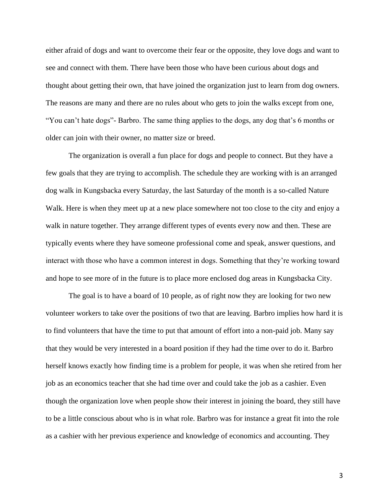either afraid of dogs and want to overcome their fear or the opposite, they love dogs and want to see and connect with them. There have been those who have been curious about dogs and thought about getting their own, that have joined the organization just to learn from dog owners. The reasons are many and there are no rules about who gets to join the walks except from one, "You can't hate dogs"- Barbro. The same thing applies to the dogs, any dog that's 6 months or older can join with their owner, no matter size or breed.

The organization is overall a fun place for dogs and people to connect. But they have a few goals that they are trying to accomplish. The schedule they are working with is an arranged dog walk in Kungsbacka every Saturday, the last Saturday of the month is a so-called Nature Walk. Here is when they meet up at a new place somewhere not too close to the city and enjoy a walk in nature together. They arrange different types of events every now and then. These are typically events where they have someone professional come and speak, answer questions, and interact with those who have a common interest in dogs. Something that they're working toward and hope to see more of in the future is to place more enclosed dog areas in Kungsbacka City.

The goal is to have a board of 10 people, as of right now they are looking for two new volunteer workers to take over the positions of two that are leaving. Barbro implies how hard it is to find volunteers that have the time to put that amount of effort into a non-paid job. Many say that they would be very interested in a board position if they had the time over to do it. Barbro herself knows exactly how finding time is a problem for people, it was when she retired from her job as an economics teacher that she had time over and could take the job as a cashier. Even though the organization love when people show their interest in joining the board, they still have to be a little conscious about who is in what role. Barbro was for instance a great fit into the role as a cashier with her previous experience and knowledge of economics and accounting. They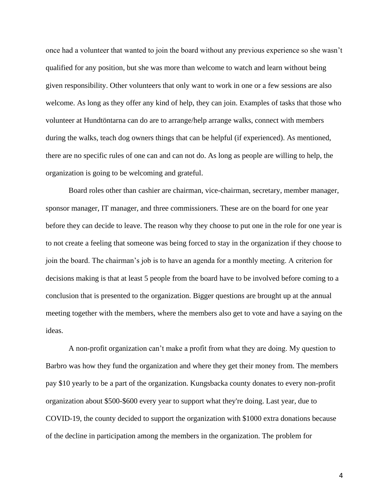once had a volunteer that wanted to join the board without any previous experience so she wasn't qualified for any position, but she was more than welcome to watch and learn without being given responsibility. Other volunteers that only want to work in one or a few sessions are also welcome. As long as they offer any kind of help, they can join. Examples of tasks that those who volunteer at Hundtöntarna can do are to arrange/help arrange walks, connect with members during the walks, teach dog owners things that can be helpful (if experienced). As mentioned, there are no specific rules of one can and can not do. As long as people are willing to help, the organization is going to be welcoming and grateful.

Board roles other than cashier are chairman, vice-chairman, secretary, member manager, sponsor manager, IT manager, and three commissioners. These are on the board for one year before they can decide to leave. The reason why they choose to put one in the role for one year is to not create a feeling that someone was being forced to stay in the organization if they choose to join the board. The chairman's job is to have an agenda for a monthly meeting. A criterion for decisions making is that at least 5 people from the board have to be involved before coming to a conclusion that is presented to the organization. Bigger questions are brought up at the annual meeting together with the members, where the members also get to vote and have a saying on the ideas.

A non-profit organization can't make a profit from what they are doing. My question to Barbro was how they fund the organization and where they get their money from. The members pay \$10 yearly to be a part of the organization. Kungsbacka county donates to every non-profit organization about \$500-\$600 every year to support what they're doing. Last year, due to COVID-19, the county decided to support the organization with \$1000 extra donations because of the decline in participation among the members in the organization. The problem for

4